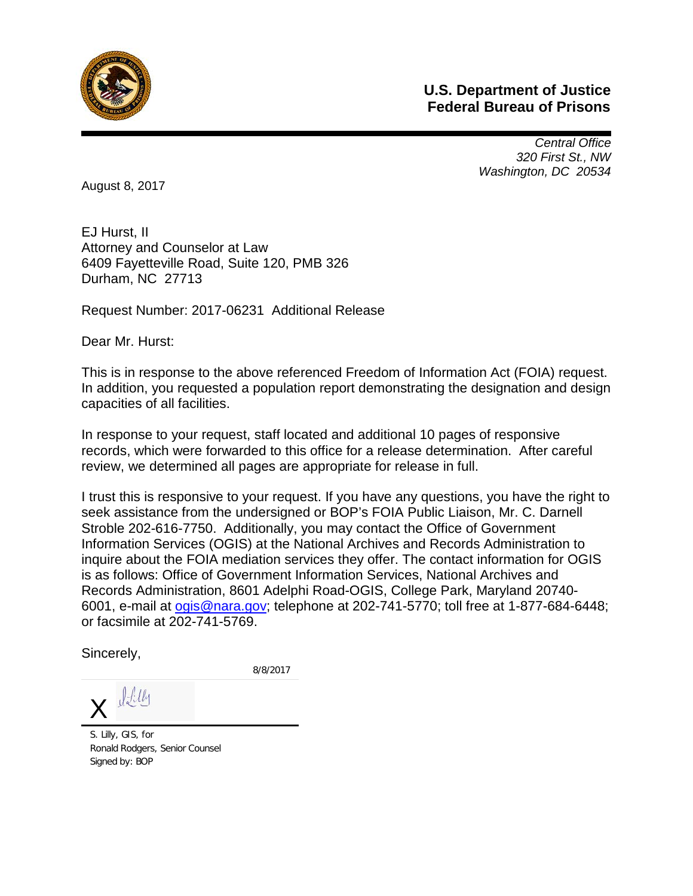

## **U.S. Department of Justice Federal Bureau of Prisons**

*Central Office 320 First St., NW Washington, DC 20534* 

August 8, 2017

EJ Hurst, II Attorney and Counselor at Law 6409 Fayetteville Road, Suite 120, PMB 326 Durham, NC 27713

Request Number: 2017-06231 Additional Release

Dear Mr. Hurst:

This is in response to the above referenced Freedom of Information Act (FOIA) request. In addition, you requested a population report demonstrating the designation and design capacities of all facilities.

In response to your request, staff located and additional 10 pages of responsive records, which were forwarded to this office for a release determination. After careful review, we determined all pages are appropriate for release in full.

I trust this is responsive to your request. If you have any questions, you have the right to seek assistance from the undersigned or BOP's FOIA Public Liaison, Mr. C. Darnell Stroble 202-616-7750. Additionally, you may contact the Office of Government Information Services (OGIS) at the National Archives and Records Administration to inquire about the FOIA mediation services they offer. The contact information for OGIS is as follows: Office of Government Information Services, National Archives and Records Administration, 8601 Adelphi Road-OGIS, College Park, Maryland 20740- 6001, e-mail at [ogis@nara.gov;](mailto:ogis@nara.gov) telephone at 202-741-5770; toll free at 1-877-684-6448; or facsimile at 202-741-5769.

Sincerely,

8/8/2017

 $Jtly$  $\overline{\mathsf{X}}$ 

S. Lilly, GIS, for Ronald Rodgers, Senior Counsel Signed by: BOP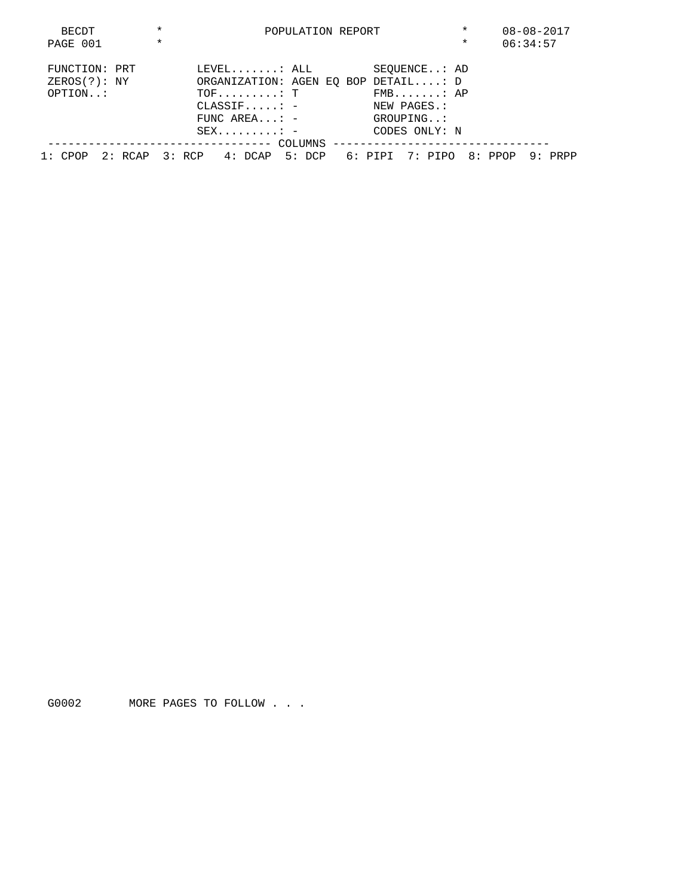| BECDT         | $\star$ |                                                               |                                     | POPULATION REPORT |  | $\star$       | $08 - 08 - 2017$ |          |  |
|---------------|---------|---------------------------------------------------------------|-------------------------------------|-------------------|--|---------------|------------------|----------|--|
| PAGE 001      | $\star$ |                                                               |                                     |                   |  |               | $\star$          | 06:34:57 |  |
| FUNCTION: PRT |         |                                                               | $\tt \tt LEVEL\tt\t : ALL$          |                   |  | SEOUENCE: AD  |                  |          |  |
| ZEROS(?): NY  |         |                                                               | ORGANIZATION: AGEN EO BOP DETAIL: D |                   |  |               |                  |          |  |
| OPTION:       |         |                                                               | $TOF \ldots \ldots \ldots T$        |                   |  | $FMB$ $AP$    |                  |          |  |
|               |         |                                                               | $\texttt{CLASSIF} \dots \dots =$    |                   |  | NEW PAGES.:   |                  |          |  |
|               |         |                                                               | FUNC AREA: $-$                      |                   |  | GROUPING:     |                  |          |  |
|               |         |                                                               | $SEX$ =                             |                   |  | CODES ONLY: N |                  |          |  |
|               |         |                                                               |                                     |                   |  |               |                  |          |  |
| 1: CPOP       |         | 2: RCAP 3: RCP 4: DCAP 5: DCP 6: PIPI 7: PIPO 8: PPOP 9: PRPP |                                     |                   |  |               |                  |          |  |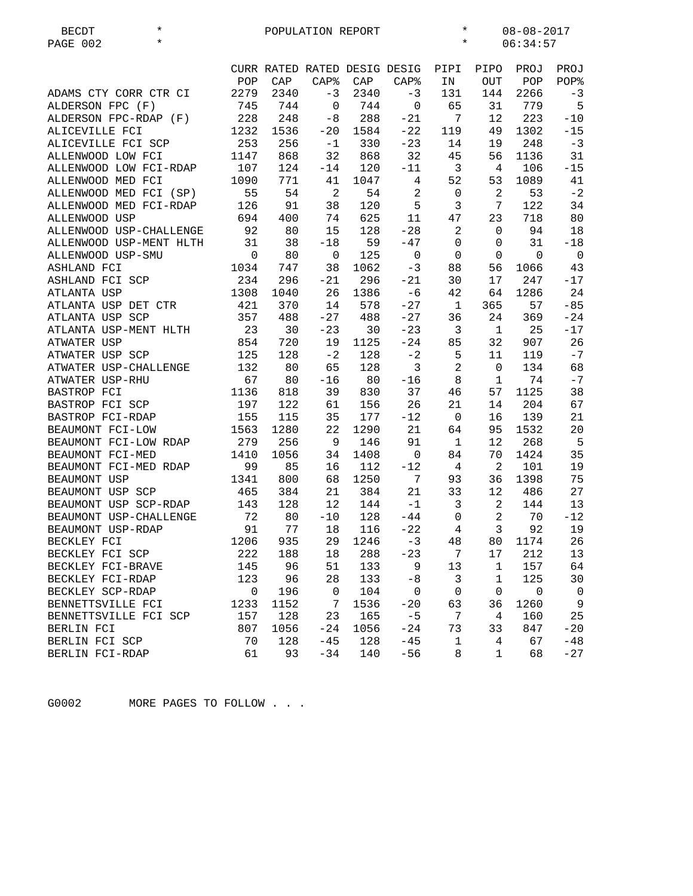| $^\star$<br><b>BECDT</b><br>$\star$<br>PAGE 002 |                |      | POPULATION REPORT |      |                              | $^\star$<br>$08 - 08 - 2017$<br>$^\star$<br>06:34:57 |                |                |                |
|-------------------------------------------------|----------------|------|-------------------|------|------------------------------|------------------------------------------------------|----------------|----------------|----------------|
|                                                 |                |      |                   |      | CURR RATED RATED DESIG DESIG | PIPI                                                 | PIPO           | PROJ           | PROJ           |
|                                                 | POP            | CAP  | <b>CAP%</b>       | CAP  | $CAP$ %                      | IN                                                   | OUT            | POP            | POP%           |
| ADAMS CTY CORR CTR CI                           | 2279           | 2340 | $-3$              | 2340 | $-3$                         | 131                                                  | 144            | 2266           | $-3$           |
| ALDERSON FPC (F)                                | 745            | 744  | $\mathbf 0$       | 744  | $\mathbf 0$                  | 65                                                   | 31             | 779            | 5              |
| ALDERSON FPC-RDAP (F)                           | 228            | 248  | $-8$              | 288  | $-21$                        | 7                                                    | 12             | 223            | $-10$          |
| ALICEVILLE FCI                                  | 1232           | 1536 | $-20$             | 1584 | $-22$                        | 119                                                  | 49             | 1302           | $-15$          |
| ALICEVILLE FCI SCP                              | 253            | 256  | $-1$              | 330  | $-23$                        | 14                                                   | 19             | 248            | $-3$           |
| ALLENWOOD LOW FCI                               | 1147           | 868  | 32                | 868  | 32                           | 45                                                   | 56             | 1136           | 31             |
| ALLENWOOD LOW FCI-RDAP                          | 107            | 124  | $-14$             | 120  | $-11$                        | $\overline{3}$                                       | 4              | 106            | $-15$          |
| ALLENWOOD MED FCI                               | 1090           | 771  | 41                | 1047 | 4                            | 52                                                   | 53             | 1089           | 41             |
| ALLENWOOD MED FCI (SP)                          | 55             | 54   | $\overline{c}$    | 54   | $\sqrt{2}$                   | 0                                                    | $\overline{a}$ | 53             | $-2$           |
| ALLENWOOD MED FCI-RDAP                          | 126            | 91   | 38                | 120  | 5                            | 3                                                    | 7              | 122            | 34             |
| ALLENWOOD USP                                   | 694            | 400  | 74                | 625  | 11                           | 47                                                   | 23             | 718            | 80             |
| ALLENWOOD USP-CHALLENGE                         | 92             | 80   | 15                | 128  | $-28$                        | 2                                                    | $\mathbf{0}$   | 94             | 18             |
| ALLENWOOD USP-MENT HLTH                         | 31             | 38   | $-18$             | 59   | $-47$                        | 0                                                    | 0              | 31             | $-18$          |
| ALLENWOOD USP-SMU                               | $\overline{0}$ | 80   | 0                 | 125  | $\mathbf 0$                  | $\mathsf 0$                                          | $\mathbf{0}$   | $\mathbf 0$    | $\overline{0}$ |
| ASHLAND FCI                                     | 1034           | 747  | 38                | 1062 | $-3$                         | 88                                                   | 56             | 1066           | 43             |
| ASHLAND FCI SCP                                 | 234            | 296  | $-21$             | 296  | $-21$                        | 30                                                   | 17             | 247            | $-17$          |
| ATLANTA USP                                     | 1308           | 1040 | 26                | 1386 | $-6$                         | 42                                                   | 64             | 1286           | 24             |
| ATLANTA USP DET CTR                             | 421            | 370  | 14                | 578  | $-27$                        | $\mathbf{1}$                                         | 365            | 57             | $-85$          |
| ATLANTA USP SCP                                 | 357            | 488  | $-27$             | 488  | $-27$                        | 36                                                   | 24             | 369            | $-24$          |
| ATLANTA USP-MENT HLTH                           | 23             | 30   | $-23$             | 30   | $-23$                        | 3                                                    | $\mathbf{1}$   | 25             | $-17$          |
| ATWATER USP                                     | 854            | 720  | 19                | 1125 | $-24$                        | 85                                                   | 32             | 907            | 26             |
| ATWATER USP SCP                                 | 125            | 128  | $-2$              | 128  | $-2$                         | 5                                                    | 11             | 119            | $-7$           |
| ATWATER USP-CHALLENGE                           | 132            | 80   | 65                | 128  | $\mathbf{3}$                 | $\overline{a}$                                       | $\mathsf{O}$   | 134            | 68             |
| ATWATER USP-RHU                                 | 67             | 80   | $-16$             | 80   | $-16$                        | 8                                                    | $\mathbf{1}$   | 74             | $-7$           |
| BASTROP FCI                                     | 1136           | 818  | 39                | 830  | 37                           | 46                                                   | 57             | 1125           | 38             |
| BASTROP FCI SCP                                 | 197            | 122  | 61                | 156  | 26                           | 21                                                   | 14             | 204            | 67             |
| BASTROP FCI-RDAP                                | 155            | 115  | 35                | 177  | $-12$                        | 0                                                    | 16             | 139            | 21             |
| BEAUMONT FCI-LOW                                | 1563           | 1280 | 22                | 1290 | 21                           | 64                                                   | 95             | 1532           | 20             |
| BEAUMONT FCI-LOW RDAP                           | 279            | 256  | 9                 | 146  | 91                           | $\mathbf 1$                                          | 12             | 268            | 5              |
| BEAUMONT FCI-MED                                | 1410           | 1056 | 34                | 1408 | $\mathbf 0$                  | 84                                                   | 70             | 1424           | 35             |
| BEAUMONT FCI-MED RDAP                           | 99             | 85   | 16                | 112  | $-12$                        | 4                                                    | 2              | 101            | 19             |
| BEAUMONT USP                                    | 1341           | 800  | 68                | 1250 | 7                            | 93                                                   | 36             | 1398           | 75             |
| BEAUMONT USP SCP                                | 465            | 384  | 21                | 384  | 21                           | 33                                                   | 12             | 486            | 27             |
| BEAUMONT USP SCP-RDAP                           | 143            | 128  | 12                | 144  | $-1$                         | 3                                                    | $\overline{a}$ | 144            | 13             |
| BEAUMONT USP-CHALLENGE                          | 72             | 80   | $-10$             | 128  | $-44$                        | $\mathbf 0$                                          | $\overline{2}$ | 70             | $-12$          |
| BEAUMONT USP-RDAP                               | 91             | 77   | 18                | 116  | $-22$                        | 4                                                    | 3 <sup>7</sup> | 92             | 19             |
| BECKLEY FCI                                     | 1206           | 935  | 29                | 1246 | -3                           | 48                                                   | 80             | 1174           | 26             |
| BECKLEY FCI SCP                                 | 222            | 188  | 18                | 288  | $-23$                        | 7                                                    | 17             | 212            | 13             |
| BECKLEY FCI-BRAVE                               | 145            | 96   | 51                | 133  | 9                            | 13                                                   | 1              | 157            | 64             |
| BECKLEY FCI-RDAP                                | 123            | 96   | 28                | 133  | $-8$                         | $\overline{\mathbf{3}}$                              | $\mathbf{1}$   | 125            | 30             |
| BECKLEY SCP-RDAP                                | $\mathsf{O}$   | 196  | $\mathbf 0$       | 104  | $\mathbf 0$                  | $\mathbf 0$                                          | $\mathsf 0$    | $\overline{0}$ | $\overline{0}$ |
| BENNETTSVILLE FCI                               | 1233           | 1152 | 7                 | 1536 | $-20$                        | 63                                                   | 36             | 1260           | 9              |
| BENNETTSVILLE FCI SCP                           | 157            | 128  | 23                | 165  | $-5$                         | 7                                                    | 4              | 160            | 25             |
| BERLIN FCI                                      | 807            | 1056 | $-24$             | 1056 | $-24$                        | 73                                                   | 33             | 847            | $-20$          |
| BERLIN FCI SCP                                  | 70             | 128  | $-45$             | 128  | $-45$                        | 1                                                    | 4              | 67             | $-48$          |
| BERLIN FCI-RDAP                                 | 61             | 93   | $-34$             | 140  | $-56$                        | 8                                                    | $\mathbf{1}$   | 68             | $-27$          |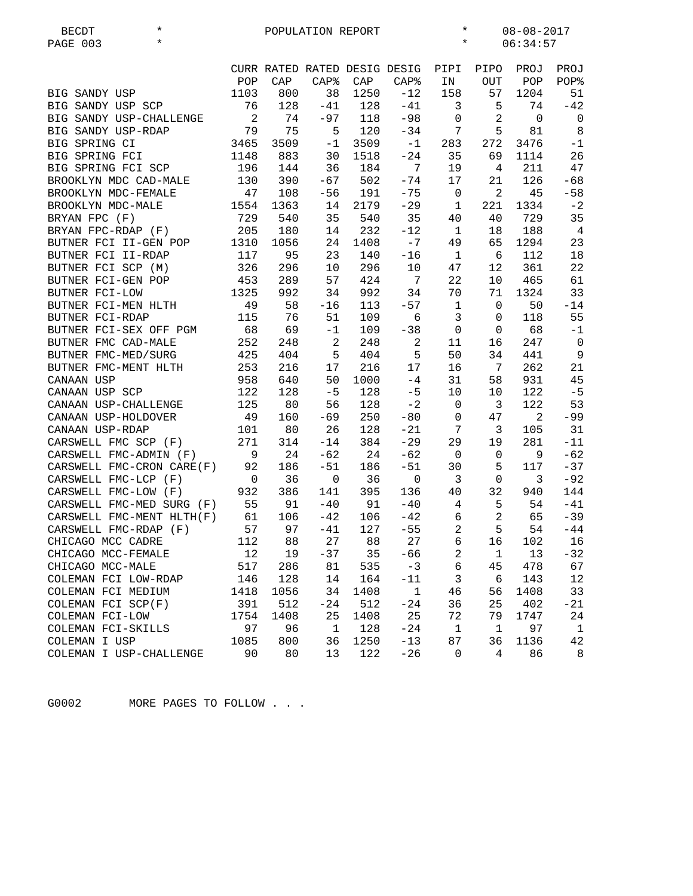| $\star$<br><b>BECDT</b>                             | $\star$<br>$08 - 08 - 2017$<br>POPULATION REPORT |             |                    |             |                              |                              |                      |             |                |
|-----------------------------------------------------|--------------------------------------------------|-------------|--------------------|-------------|------------------------------|------------------------------|----------------------|-------------|----------------|
| $\star$<br>PAGE 003                                 |                                                  |             |                    |             |                              | $\star$                      |                      | 06:34:57    |                |
|                                                     |                                                  |             |                    |             | CURR RATED RATED DESIG DESIG | PIPI                         | PIPO                 | PROJ        | PROJ           |
|                                                     | POP                                              | CAP         | CAP <sub>8</sub>   | CAP         | CAP <sup>8</sup>             | IN                           | OUT                  | POP         | POP%           |
| BIG SANDY USP                                       | 1103                                             | 800         | 38                 | 1250        | $-12$                        | 158                          | 57                   | 1204        | 51             |
| BIG SANDY USP SCP                                   | 76                                               | 128         | $-41$              | 128         | $-41$                        | 3                            | 5                    | 74          | $-42$          |
| BIG SANDY USP-CHALLENGE                             | $\overline{\phantom{a}}$                         | 74          | $-97$              | 118         | $-98$                        | $\mathbf 0$                  | 2                    | $\mathbf 0$ | $\mathbf 0$    |
| BIG SANDY USP-RDAP                                  | 79                                               | 75          | 5                  | 120         | $-34$                        | $7\overline{ }$              | 5                    | 81          | 8              |
| BIG SPRING CI                                       | 3465                                             | 3509        |                    | $-1$ 3509   | $-1$                         | 283                          | 272                  | 3476        | $-1$           |
| BIG SPRING FCI                                      | 1148                                             | 883         | 30                 | 1518        | $-24$                        | 35                           | 69                   | 1114        | 26             |
| BIG SPRING FCI SCP                                  | 196                                              | 144         | 36                 | 184         | 7                            | 19                           | 4                    | 211         | 47             |
| BROOKLYN MDC CAD-MALE                               | 130                                              | 390         | $-67$              | 502         | $-74$                        | 17                           | 21                   | 126         | $-68$          |
| BROOKLYN MDC-FEMALE                                 | 47                                               | 108         | $-56$              | 191         | $-75$                        | $\mathbf 0$                  | $\overline{2}$       | 45          | $-58$          |
| BROOKLYN MDC-MALE                                   | 1554                                             | 1363        | 14                 | 2179        | $-29$                        | 1                            | 221                  | 1334        | $-2$           |
|                                                     | 729                                              | 540         | 35                 | 540         | 35                           | 40                           | 40                   | 729         | 35             |
| BRYAN FPC (F)<br>BRYAN FPC-RDAP (F)                 | 205                                              |             | 14                 | 232         | $-12$                        | $\mathbf{1}$                 | 18                   | 188         | $\overline{4}$ |
|                                                     | 1310                                             | 180<br>1056 |                    | 1408        | $-7$                         | 49                           | 65                   | 1294        | 23             |
| BUTNER FCI II-GEN POP                               | 117                                              |             | 24                 |             |                              |                              | 6                    |             |                |
| BUTNER FCI II-RDAP                                  |                                                  | 95          | 23                 | 140         | $-16$                        | 1                            |                      | 112         | 18<br>22       |
| BUTNER FCI SCP (M)<br>BUTNER FCI-GEN POP            | 326<br>453                                       | 296<br>289  | 10<br>57           | 296<br>424  | 10<br>$\overline{7}$         | 47<br>22                     | 12                   | 361<br>465  | 61             |
|                                                     |                                                  |             |                    |             |                              |                              | $10\,$               |             |                |
| BUTNER FCI-LOW                                      | 1325<br>49                                       | 992         | 34                 | 992         | 34                           | 70                           | 71                   | 1324        | 33             |
| BUTNER FCI-MEN HLTH                                 |                                                  | 58<br>76    | $-16$<br>51        | 113<br>109  | $-57$<br>6                   | $\mathbf{1}$<br>$\mathbf{3}$ | $\mathbf{0}$         | 50<br>118   | $-14$<br>55    |
| BUTNER FCI-RDAP                                     | 115                                              |             |                    |             |                              |                              | $\mathbf{0}$         |             | $-1$           |
| BUTNER FCI-SEX OFF PGM<br>BUTNER FMC CAD-MALE       | 68<br>252                                        | 69<br>248   | $-1$<br>2          | 109<br>248  | $-38$<br>$\overline{a}$      | $\mathbf 0$<br>11            | $\overline{0}$<br>16 | 68<br>247   | $\overline{0}$ |
|                                                     |                                                  |             | 5                  | 404         | 5                            | 50                           | 34                   |             | $\overline{9}$ |
| BUTNER FMC-MED/SURG                                 | 425                                              | 404         |                    |             |                              |                              | $7\overline{ }$      | 441         |                |
| BUTNER FMC-MENT HLTH                                | 253                                              | 216         | 17                 | 216         | 17                           | 16                           |                      | 262         | 21             |
| CANAAN USP                                          | 958                                              | 640         | 50                 | 1000        | $-4$                         | 31                           | 58                   | 931         | 45             |
| CANAAN USP SCP                                      | 122<br>125                                       | 128         | $-5$               | 128         | $-5$<br>$-2$                 | 10                           | $10 \,$              | 122<br>122  | $-5$           |
| CANAAN USP-CHALLENGE                                |                                                  | 80          | 56                 | 128         |                              | $\mathbf 0$                  | 3                    | 2           | 53             |
| CANAAN USP-HOLDOVER                                 | 49                                               | 160         | $-69$              | 250         | $-80$                        | $\mathbf 0$<br>7             | 47                   |             | $-99$          |
| CANAAN USP-RDAP                                     | 101                                              | 80          | 26                 | 128         | $-21$                        |                              | $\overline{3}$       | 105         | 31             |
| CARSWELL FMC SCP (F)                                | 271                                              | 314         | $-14$              | 384         | $-29$                        | 29                           | 19                   | 281         | $-11$          |
| CARSWELL FMC-ADMIN (F)<br>CARSWELL FMC-CRON CARE(F) | 9<br>92                                          | 24          | $-62$<br>$-51$     | 24          | $-62$<br>$-51$               | $\overline{0}$<br>30         | $\mathsf{O}$<br>5    | 9<br>117    | $-62$<br>$-37$ |
|                                                     |                                                  | 186         |                    | 186         |                              |                              |                      | 3           |                |
| CARSWELL FMC-LCP (F)<br>CARSWELL FMC-LOW (F)        | $\overline{0}$<br>932                            | 36<br>386   | $\mathbf 0$<br>141 | 36<br>395   | $\mathbf 0$<br>136           | $\overline{3}$<br>40         | $\mathsf{O}$<br>32   | 940         | $-92$<br>144   |
| CARSWELL FMC-MED SURG (F)                           | 55                                               | 91          | $-40$              | 91          | $-40$                        | $\overline{4}$               | 5                    | 54          | $-41$          |
| CARSWELL FMC-MENT HLTH(F)                           | 61                                               | 106         | $-42$              | 106         | $-42$                        | 6                            | $\overline{a}$       | 65          | $-39$          |
| CARSWELL FMC-RDAP (F)                               | 57                                               | 97          | $-41$              | 127         | $-55$                        | $\overline{2}$               | 5                    | 54          | $-44$          |
|                                                     | 112                                              | 88          | 27                 | 88          | 27                           | 6                            | 16                   | 102         | 16             |
| CHICAGO MCC CADRE<br>CHICAGO MCC-FEMALE             | 12                                               | 19          | $-37$              | 35          | $-66$                        | $\overline{a}$               | $\mathbf 1$          | 13          | $-32$          |
| CHICAGO MCC-MALE                                    | 517                                              | 286         | 81                 | 535         | $-3$                         | $\sqrt{6}$                   | 45                   | 478         | 67             |
| COLEMAN FCI LOW-RDAP                                | 146                                              | 128         | 14                 | 164         | $-11$                        | 3                            | 6                    | 143         | $1\,2$         |
| COLEMAN FCI MEDIUM                                  |                                                  | 1056        | 34                 |             |                              |                              |                      | 1408        | 33             |
| COLEMAN FCI SCP(F)                                  | 1418                                             | 512         | $-24$              | 1408<br>512 | $\mathbf 1$                  | 46                           | 56                   |             | $-21$          |
| COLEMAN FCI-LOW                                     | 391<br>1754                                      | 1408        | 25                 | 1408        | $-24$<br>25                  | 36<br>72                     | 25<br>79             | 402<br>1747 | 24             |
| COLEMAN FCI-SKILLS                                  | 97                                               | 96          | $\mathbf{1}$       | 128         | $-24$                        | $\mathbf{1}$                 | $\mathbf 1$          | 97          | $\mathbf{1}$   |
| COLEMAN I USP                                       | 1085                                             | 800         | 36                 | 1250        | $-13$                        | 87                           | 36                   | 1136        | 42             |
| COLEMAN I USP-CHALLENGE                             | 90                                               | 80          | 13                 | 122         | $-26$                        | $\mathsf 0$                  | $\overline{4}$       | 86          | 8              |
|                                                     |                                                  |             |                    |             |                              |                              |                      |             |                |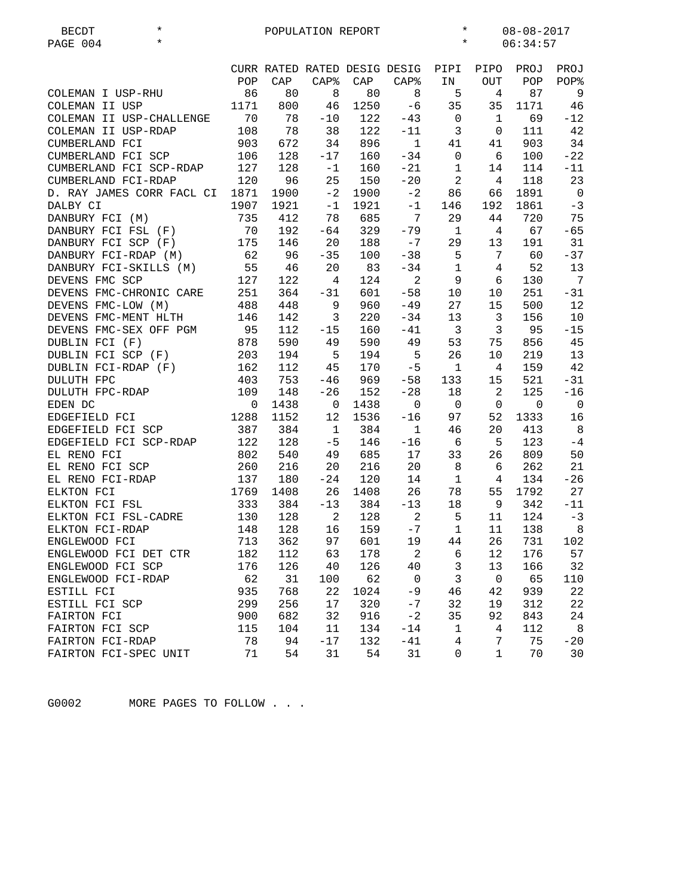| <b>BECDT</b>              | $^\star$ |             |      | POPULATION REPORT |      |                              | $\ast$<br>$08 - 08 - 2017$ |                 |             |                              |
|---------------------------|----------|-------------|------|-------------------|------|------------------------------|----------------------------|-----------------|-------------|------------------------------|
| PAGE 004                  | $\star$  |             |      |                   |      |                              | $\star$                    |                 | 06:34:57    |                              |
|                           |          |             |      |                   |      |                              |                            |                 |             |                              |
|                           |          |             |      |                   |      | CURR RATED RATED DESIG DESIG | PIPI                       | PIPO            | PROJ        | PROJ                         |
|                           |          | POP         | CAP  | CAP <sup>8</sup>  | CAP  | $CAP$ %                      | IN                         | <b>OUT</b>      | POP         | POP%                         |
| COLEMAN I USP-RHU         |          | 86          | 80   | 8                 | 80   | 8                            | 5                          | $\overline{4}$  | 87          | 9                            |
| COLEMAN II USP            |          | 1171        | 800  | 46                | 1250 | $-6$                         | 35                         | 35              | 1171        | 46                           |
| COLEMAN II USP-CHALLENGE  |          | 70          | 78   | $-10$             | 122  | $-43$                        | $\overline{0}$             | 1               | 69          | $-12$                        |
| COLEMAN II USP-RDAP       |          | 108         | 78   | 38                | 122  | $-11$                        | $\overline{3}$             | 0               | 111         | 42                           |
|                           |          |             |      |                   |      | $\mathbf{1}$                 |                            |                 |             | 34                           |
| CUMBERLAND FCI            |          | 903         | 672  | 34                | 896  |                              | 41                         | 41              | 903         |                              |
| CUMBERLAND FCI SCP        |          | 106         | 128  | $-17$             | 160  | $-34$                        | 0                          | 6               | 100         | $-22$                        |
| CUMBERLAND FCI SCP-RDAP   |          | 127         | 128  | $-1$              | 160  | $-21$                        | $\mathbf{1}$               | 14              | 114         | $-11$                        |
| CUMBERLAND FCI-RDAP       |          | 120         | 96   | 25                | 150  | $-20$                        | 2                          | 4               | 118         | 23                           |
| D. RAY JAMES CORR FACL CI |          | 1871        | 1900 | $-2$              | 1900 | $-2$                         | 86                         | 66              | 1891        | $\overline{0}$               |
| DALBY CI                  |          | 1907        | 1921 | $-1$              | 1921 | $-1$                         | 146                        | 192             | 1861        | $-3$                         |
| DANBURY FCI (M)           |          | 735         | 412  | 78                | 685  | 7                            | 29                         | 44              | 720         | 75                           |
| DANBURY FCI FSL (F)       |          | 70          | 192  | $-64$             | 329  | $-79$                        | 1                          | 4               | 67          | $-65$                        |
| DANBURY FCI SCP (F)       |          | 175         | 146  | 20                | 188  | $-7$                         | 29                         | 13              | 191         | 31                           |
| DANBURY FCI-RDAP (M)      |          | 62          | 96   | $-35$             | 100  | $-38$                        | 5                          | $7\phantom{.0}$ | 60          | $-37$                        |
| DANBURY FCI-SKILLS (M)    |          | 55          | 46   | 20                | 83   | $-34$                        | $\mathbf{1}$               | 4               | 52          | 13                           |
| DEVENS FMC SCP            |          | 127         | 122  | 4                 | 124  | $\overline{2}$               | 9                          | 6               | 130         | $7\phantom{.0}\phantom{.0}7$ |
| DEVENS FMC-CHRONIC CARE   |          | 251         | 364  | $-31$             | 601  | $-58$                        | 10                         | 10              | 251         | $-31$                        |
| DEVENS FMC-LOW (M)        |          | 488         | 448  | 9                 | 960  | $-49$                        | 27                         | 15              | 500         | 12                           |
| DEVENS FMC-MENT HLTH      |          | 146         | 142  | 3                 | 220  | $-34$                        | 13                         | $\mathbf{3}$    | 156         | 10                           |
| DEVENS FMC-SEX OFF PGM    |          | 95          | 112  | $-15$             | 160  | $-41$                        | $\overline{3}$             | 3               | 95          | $-15$                        |
| DUBLIN FCI (F)            |          | 878         | 590  | 49                | 590  | 49                           | 53                         | 75              | 856         | 45                           |
| DUBLIN FCI SCP (F)        |          | 203         | 194  | 5                 | 194  | 5                            | 26                         | 10              | 219         | 13                           |
| DUBLIN FCI-RDAP (F)       |          | 162         | 112  | 45                | 170  | $-5$                         | $\mathbf{1}$               | 4               | 159         | 42                           |
|                           |          |             |      |                   |      |                              |                            |                 |             |                              |
| DULUTH FPC                |          | 403         | 753  | $-46$             | 969  | $-58$                        | 133                        | 15              | 521         | $-31$                        |
| DULUTH FPC-RDAP           |          | 109         | 148  | $-26$             | 152  | $-28$                        | 18                         | $\overline{a}$  | 125         | $-16$                        |
| EDEN DC                   |          | $\mathbf 0$ | 1438 | $\mathbf 0$       | 1438 | $\mathbf 0$                  | $\mathbf 0$                | $\mathbf 0$     | $\mathbf 0$ | $\overline{0}$               |
| EDGEFIELD FCI             |          | 1288        | 1152 | 12                | 1536 | $-16$                        | 97                         | 52              | 1333        | 16                           |
| EDGEFIELD FCI SCP         |          | 387         | 384  | $\mathbf{1}$      | 384  | $\mathbf{1}$                 | 46                         | 20              | 413         | 8                            |
| EDGEFIELD FCI SCP-RDAP    |          | 122         | 128  | $-5$              | 146  | $-16$                        | - 6                        | 5               | 123         | $-4$                         |
| EL RENO FCI               |          | 802         | 540  | 49                | 685  | 17                           | 33                         | 26              | 809         | 50                           |
| EL RENO FCI SCP           |          | 260         | 216  | 20                | 216  | 20                           | 8                          | 6               | 262         | 21                           |
| EL RENO FCI-RDAP          |          | 137         | 180  | $-24$             | 120  | 14                           | $\mathbf{1}$               | 4               | 134         | $-26$                        |
| ELKTON FCI                |          | 1769        | 1408 | 26                | 1408 | 26                           | 78                         | 55              | 1792        | 27                           |
| ELKTON FCI FSL            |          | 333         | 384  | $-13$             | 384  | $-13$                        | 18                         | 9               | 342         | $-11$                        |
| ELKTON FCI FSL-CADRE      |          | 130         | 128  | 2                 | 128  | $\overline{a}$               | 5                          | 11              | 124         | $-3$                         |
| ELKTON FCI-RDAP           |          | 148         | 128  | 16                | 159  | $-7$                         | $\mathbf{1}$               | 11              | 138         | 8                            |
| ENGLEWOOD FCI             |          | 713         | 362  | 97                | 601  | 19                           | 44                         | 26              | 731         | 102                          |
| ENGLEWOOD FCI DET CTR     |          | 182         | 112  | 63                | 178  | $\overline{a}$               | 6                          | 12              | 176         | 57                           |
| ENGLEWOOD FCI SCP         |          | 176         | 126  | $40$              | 126  | 40                           | 3                          | 13              | 166         | 32                           |
| ENGLEWOOD FCI-RDAP        |          | 62          | 31   | 100               | 62   | $\mathbf 0$                  | 3                          | $\mathbf 0$     | 65          | 110                          |
| ESTILL FCI                |          | 935         | 768  | 22                | 1024 | $-9$                         | 46                         | 42              | 939         | 22                           |
|                           |          | 299         | 256  | 17                | 320  | $-7$                         | 32                         |                 | 312         | 22                           |
| ESTILL FCI SCP            |          |             |      |                   |      | $-2$                         |                            | 19              |             |                              |
| FAIRTON FCI               |          | 900         | 682  | 32                | 916  |                              | 35                         | 92              | 843         | 24                           |
| FAIRTON FCI SCP           |          | 115         | 104  | 11                | 134  | $-14$                        | $\mathbf{1}$               | 4               | 112         | 8                            |
| FAIRTON FCI-RDAP          |          | 78          | 94   | $-17$             | 132  | $-41$                        | $\overline{4}$             | 7               | 75          | $-20$                        |
| FAIRTON FCI-SPEC UNIT     |          | 71          | 54   | 31                | 54   | 31                           | 0                          | $\mathbf{1}$    | 70          | 30                           |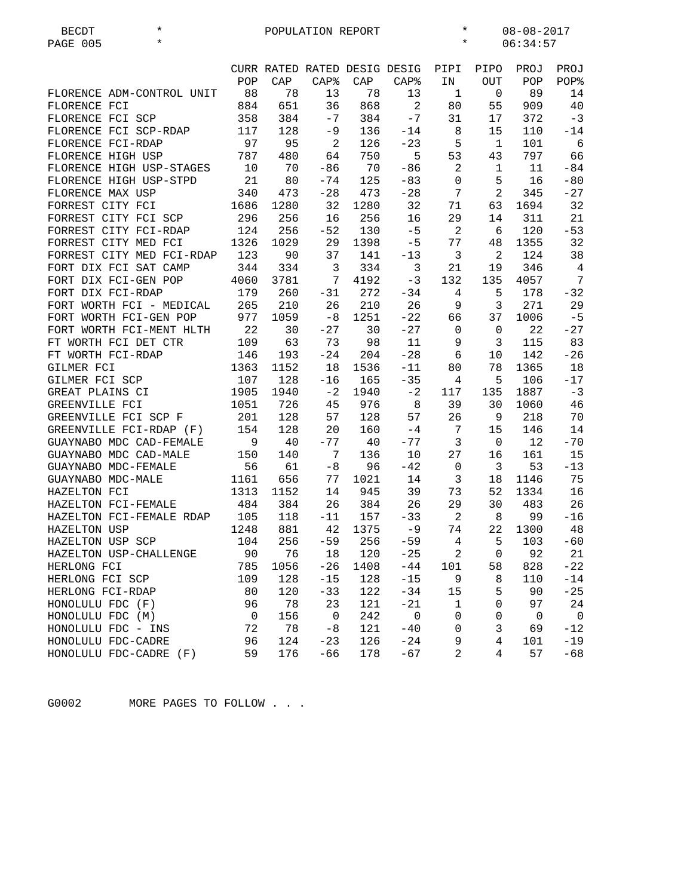| $\star$<br><b>BECDT</b>   | POPULATION REPORT |      |                            |      |                              |                |                | $\ast$<br>$08 - 08 - 2017$ |                 |  |  |
|---------------------------|-------------------|------|----------------------------|------|------------------------------|----------------|----------------|----------------------------|-----------------|--|--|
| $\star$<br>PAGE 005       |                   |      |                            |      |                              | $\star$        |                | 06:34:57                   |                 |  |  |
|                           |                   |      |                            |      |                              |                |                |                            |                 |  |  |
|                           |                   |      |                            |      | CURR RATED RATED DESIG DESIG | PIPI           | PIPO           | PROJ                       | PROJ            |  |  |
|                           | POP               | CAP  | <b>CAP%</b>                | CAP  | CAP <sub>8</sub>             | ΙN             | <b>OUT</b>     | POP                        | POP%            |  |  |
| FLORENCE ADM-CONTROL UNIT | 88                | 78   | 13                         | 78   | 13                           | $\mathbf{1}$   | $\mathsf{O}$   | 89                         | 14              |  |  |
| FLORENCE FCI              | 884               | 651  | 36                         | 868  | $\overline{a}$               | 80             | 55             | 909                        | 40              |  |  |
| FLORENCE FCI SCP          | 358               | 384  | $-7$                       | 384  | $-7$                         | 31             | 17             | 372                        | $-3$            |  |  |
| FLORENCE FCI SCP-RDAP     | 117               | 128  | -9                         | 136  | $-14$                        | 8              | 15             | 110                        | $-14$           |  |  |
| FLORENCE FCI-RDAP         | 97                | 95   | $\overline{\phantom{0}}^2$ | 126  | $-23$                        | 5              | $\mathbf{1}$   | 101                        | - 6             |  |  |
| FLORENCE HIGH USP         | 787               | 480  | 64                         | 750  | 5                            | 53             | 43             | 797                        | 66              |  |  |
| FLORENCE HIGH USP-STAGES  | 10                | 70   | $-86$                      | 70   | $-86$                        | 2              | $\mathbf{1}$   | 11                         | $-84$           |  |  |
| FLORENCE HIGH USP-STPD    | 21                | 80   | $-74$                      | 125  | $-83$                        | $\mathbf{0}$   | 5              | 16                         | $-80$           |  |  |
| FLORENCE MAX USP          | 340               | 473  | $-28$                      | 473  | $-28$                        | $7\phantom{.}$ | $\overline{a}$ | 345                        | $-27$           |  |  |
| FORREST CITY FCI          | 1686              | 1280 | 32                         | 1280 | 32                           | 71             | 63             | 1694                       | 32              |  |  |
| FORREST CITY FCI SCP      | 296               | 256  | 16                         | 256  | 16                           | 29             | 14             | 311                        | 21              |  |  |
| FORREST CITY FCI-RDAP     | 124               | 256  | $-52$                      | 130  | $-5$                         | 2              | 6              | 120                        | $-53$           |  |  |
| FORREST CITY MED FCI      | 1326              | 1029 | 29                         | 1398 | $-5$                         | 77             | 48             | 1355                       | 32              |  |  |
| FORREST CITY MED FCI-RDAP | 123               | 90   | 37                         | 141  | $-13$                        | $\overline{3}$ | 2              | 124                        | 38              |  |  |
| FORT DIX FCI SAT CAMP     | 344               | 334  | 3                          | 334  | $\mathbf{3}$                 | 21             | 19             | 346                        | $\overline{4}$  |  |  |
| FORT DIX FCI-GEN POP      | 4060              | 3781 | 7                          | 4192 | $-3$                         | 132            | 135            | 4057                       | $7\phantom{.0}$ |  |  |
| FORT DIX FCI-RDAP         | 179               | 260  | $-31$                      | 272  | $-34$                        | 4              | 5              | 178                        | $-32$           |  |  |
| FORT WORTH FCI - MEDICAL  | 265               | 210  | 26                         | 210  | 26                           | 9              | 3              | 271                        | 29              |  |  |
| FORT WORTH FCI-GEN POP    | 977               | 1059 | $-8$                       | 1251 | $-22$                        | 66             | 37             | 1006                       | $-5$            |  |  |
| FORT WORTH FCI-MENT HLTH  | 22                | 30   | $-27$                      | 30   | $-27$                        | $\mathbf 0$    | $\mathbf 0$    | 22                         | $-27$           |  |  |
| FT WORTH FCI DET CTR      | 109               | 63   | 73                         | 98   | 11                           | 9              | 3              | 115                        | 83              |  |  |
| FT WORTH FCI-RDAP         | 146               | 193  | $-24$                      | 204  | $-28$                        | 6              | 10             | 142                        | $-26$           |  |  |
| GILMER FCI                | 1363              | 1152 | 18                         | 1536 | $-11$                        | 80             | 78             | 1365                       | 18              |  |  |
| GILMER FCI SCP            | 107               | 128  | $-16$                      | 165  | $-35$                        | 4              | 5              | 106                        | $-17$           |  |  |
| GREAT PLAINS CI           | 1905              | 1940 | $-2$                       | 1940 | $-2$                         | 117            | 135            | 1887                       | $-3$            |  |  |
| GREENVILLE FCI            | 1051              | 726  | 45                         | 976  | 8                            | 39             | 30             | 1060                       | 46              |  |  |
| GREENVILLE FCI SCP F      | 201               | 128  | 57                         | 128  | 57                           | 26             | 9              | 218                        | 70              |  |  |
| GREENVILLE FCI-RDAP (F)   | 154               | 128  | 20                         | 160  | $-4$                         | 7              | 15             | 146                        | 14              |  |  |
| GUAYNABO MDC CAD-FEMALE   | 9                 | 40   | $-77$                      | 40   | $-77$                        | 3              | $\mathbf 0$    | 12                         | $-70$           |  |  |
| GUAYNABO MDC CAD-MALE     | 150               | 140  | 7                          | 136  | 10                           | 27             | 16             | 161                        | 15              |  |  |
| GUAYNABO MDC-FEMALE       | 56                | 61   | $-8$                       | 96   | $-42$                        | 0              | 3              | 53                         | $-13$           |  |  |
| GUAYNABO MDC-MALE         | 1161              | 656  | 77                         | 1021 | 14                           | $\mathfrak{Z}$ | 18             | 1146                       | 75              |  |  |
| HAZELTON FCI              | 1313              | 1152 | 14                         | 945  | 39                           | 73             | 52             | 1334                       | 16              |  |  |
| HAZELTON FCI-FEMALE       | 484               | 384  | 26                         | 384  | 26                           | 29             | 30             | 483                        | 26              |  |  |
| HAZELTON FCI-FEMALE RDAP  |                   |      |                            | 157  |                              |                |                | 99                         |                 |  |  |
|                           | 105               | 118  | $-11$                      |      | $-33$                        | 2              | 8              |                            | $-16$<br>48     |  |  |
| HAZELTON USP              | 1248              | 881  | 42                         | 1375 | $-9$                         | 74             | 22             | 1300                       |                 |  |  |
| HAZELTON USP SCP          | 104               | 256  | $-59$                      | 256  | $-59$                        | 4              | 5              | 103                        | $-60$           |  |  |
| HAZELTON USP-CHALLENGE    | 90                | 76   | 18                         | 120  | $-25$                        | $\overline{a}$ | 0              | 92                         | 21              |  |  |
| HERLONG FCI               | 785               | 1056 | $-26$                      | 1408 | $-44$                        | 101            | 58             | 828                        | $-22$           |  |  |
| HERLONG FCI SCP           | 109               | 128  | $-15$                      | 128  | $-15$                        | 9              | 8              | 110                        | $-14$           |  |  |
| HERLONG FCI-RDAP          | 80                | 120  | $-33$                      | 122  | $-34$                        | 15             | 5              | 90                         | $-25$           |  |  |
| HONOLULU FDC (F)          | 96                | 78   | 23                         | 121  | $-21$                        | 1              | 0              | 97                         | 24              |  |  |
| HONOLULU FDC (M)          | 0                 | 156  | 0                          | 242  | $\mathsf 0$                  | $\mathsf 0$    | 0              | $\mathbf 0$                | $\mathbf 0$     |  |  |
| HONOLULU FDC - INS        | 72                | 78   | $-8$                       | 121  | $-40$                        | 0              | 3              | 69                         | $-12$           |  |  |
| HONOLULU FDC-CADRE        | 96                | 124  | $-23$                      | 126  | $-24$                        | 9              | 4              | 101                        | $-19$           |  |  |
| HONOLULU FDC-CADRE (F)    | 59                | 176  | $-66$                      | 178  | $-67$                        | 2              | 4              | 57                         | $-68$           |  |  |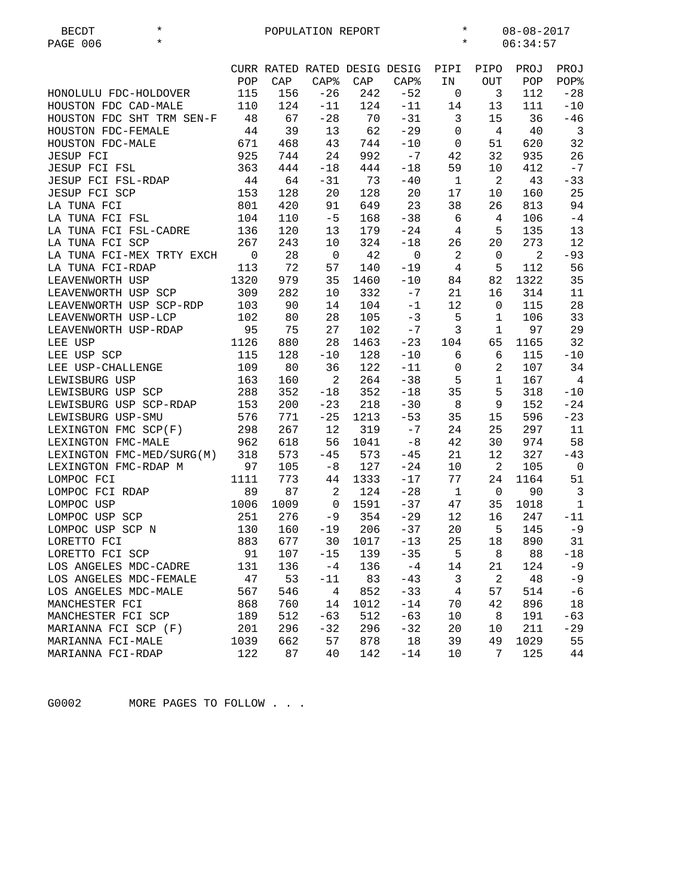| <b>BECDT</b>           | $\star$                   |                |      | POPULATION REPORT |      |                              | $\star$        |                | $08 - 08 - 2017$ |                |
|------------------------|---------------------------|----------------|------|-------------------|------|------------------------------|----------------|----------------|------------------|----------------|
| PAGE 006               | $\star$                   |                |      |                   |      |                              | $\star$        |                | 06:34:57         |                |
|                        |                           |                |      |                   |      |                              |                |                |                  |                |
|                        |                           |                |      |                   |      | CURR RATED RATED DESIG DESIG | PIPI           | PIPO           | PROJ             | PROJ           |
|                        |                           | POP            | CAP  | CAP <sup>8</sup>  | CAP  | CAP <sub>8</sub>             | ΙN             | <b>OUT</b>     | POP              | POP%           |
| HONOLULU FDC-HOLDOVER  |                           | 115            | 156  | $-26$             | 242  | $-52$                        | 0              | 3              | 112              | $-28$          |
| HOUSTON FDC CAD-MALE   |                           | 110            | 124  | $-11$             | 124  | $-11$                        | 14             | 13             | 111              | $-10$          |
|                        | HOUSTON FDC SHT TRM SEN-F | 48             | 67   | $-28$             | 70   | $-31$                        | 3              | 15             | 36               | $-46$          |
| HOUSTON FDC-FEMALE     |                           | 44             | 39   | 13                | 62   | $-29$                        | $\mathbf 0$    | 4              | 40               | $\overline{3}$ |
| HOUSTON FDC-MALE       |                           | 671            | 468  | 43                | 744  | $-10$                        | $\mathbf 0$    | 51             | 620              | 32             |
| <b>JESUP FCI</b>       |                           | 925            | 744  | 24                | 992  | $-7$                         | 42             | 32             | 935              | 26             |
| JESUP FCI FSL          |                           | 363            | 444  | $-18$             | 444  | $-18$                        | 59             | 10             | 412              | $-7$           |
| JESUP FCI FSL-RDAP     |                           | 44             | 64   | $-31$             | 73   | $-40$                        | $\mathbf{1}$   | $\overline{a}$ | 43               | $-33$          |
| JESUP FCI SCP          |                           | 153            | 128  | 20                | 128  | 20                           | 17             | 10             | 160              | 25             |
| LA TUNA FCI            |                           | 801            | 420  | 91                | 649  | 23                           | 38             | 26             | 813              | 94             |
| LA TUNA FCI FSL        |                           | 104            | 110  | $-5$              | 168  | $-38$                        | 6              | 4              | 106              | $-4$           |
| LA TUNA FCI FSL-CADRE  |                           | 136            | 120  | 13                | 179  | $-24$                        | 4              | 5              | 135              | 13             |
| LA TUNA FCI SCP        |                           | 267            | 243  | 10                | 324  | $-18$                        | 26             | 20             | 273              | 12             |
|                        | LA TUNA FCI-MEX TRTY EXCH | $\overline{0}$ | 28   | $\mathbf 0$       | 42   | $\overline{0}$               | $\overline{a}$ | 0              | 2                | $-93$          |
| LA TUNA FCI-RDAP       |                           | 113            | 72   | 57                | 140  | $-19$                        | 4              | 5              | 112              | 56             |
| LEAVENWORTH USP        |                           | 1320           | 979  | 35                | 1460 | $-10$                        | 84             | 82             | 1322             | 35             |
| LEAVENWORTH USP SCP    |                           | 309            | 282  | 10                | 332  | $-7$                         | 21             | 16             | 314              | 11             |
|                        | LEAVENWORTH USP SCP-RDP   | 103            | 90   | 14                | 104  | $-1$                         | 12             | 0              | 115              | 28             |
| LEAVENWORTH USP-LCP    |                           | 102            | 80   | 28                | 105  | $-3$                         | 5              | 1              | 106              | 33             |
| LEAVENWORTH USP-RDAP   |                           | 95             | 75   | 27                | 102  | $-7$                         | $\mathsf{3}$   | $\mathbf{1}$   | 97               | 29             |
| LEE USP                |                           | 1126           | 880  | 28                | 1463 | $-23$                        | 104            | 65             | 1165             | 32             |
| LEE USP SCP            |                           | 115            | 128  | $-10$             | 128  | $-10$                        | 6              | 6              | 115              | $-10$          |
| LEE USP-CHALLENGE      |                           | 109            | 80   | 36                | 122  | $-11$                        | 0              | 2              | 107              | 34             |
| LEWISBURG USP          |                           | 163            | 160  | 2                 | 264  | $-38$                        | 5              | $\mathbf{1}$   | 167              | $\overline{4}$ |
| LEWISBURG USP SCP      |                           | 288            | 352  | $-18$             | 352  | $-18$                        | 35             | 5              | 318              | $-10$          |
| LEWISBURG USP SCP-RDAP |                           | 153            | 200  | $-23$             | 218  | $-30$                        | 8              | 9              | 152              | $-24$          |
|                        |                           | 576            | 771  | $-25$             |      | $-53$                        | 35             |                | 596              | $-23$          |
| LEWISBURG USP-SMU      |                           |                | 267  |                   | 1213 | $-7$                         |                | 15             |                  | 11             |
| LEXINGTON FMC SCP(F)   |                           | 298            |      | 12                | 319  |                              | 24             | 25             | 297              |                |
| LEXINGTON FMC-MALE     |                           | 962            | 618  | 56                | 1041 | $-8$                         | 42             | 30             | 974              | 58             |
|                        | LEXINGTON FMC-MED/SURG(M) | 318            | 573  | $-45$             | 573  | $-45$                        | 21             | 12             | 327              | $-43$          |
| LEXINGTON FMC-RDAP M   |                           | 97             | 105  | $-8$              | 127  | $-24$                        | 10             | $\overline{a}$ | 105              | $\overline{0}$ |
| LOMPOC FCI             |                           | 1111           | 773  | 44                | 1333 | $-17$                        | 77             | 24             | 1164             | 51             |
| LOMPOC FCI RDAP        |                           | 89             | 87   | 2                 | 124  | $-28$                        | $\mathbf{1}$   | $\mathbf 0$    | 90               | $\overline{3}$ |
| LOMPOC USP             |                           | 1006           | 1009 | 0                 | 1591 | $-37$                        | 47             | 35             | 1018             | $\mathbf{1}$   |
| LOMPOC USP SCP         |                           | 251            | 276  | $-9$              | 354  | $-29$                        | 12             | 16             | 247              | $-11$          |
| LOMPOC USP SCP N       |                           | 130            | 160  | $-19$             | 206  | $-37$                        | 20             | 5              | 145              | $-9$           |
| LORETTO FCI            |                           | 883            | 677  | 30                | 1017 | $-13$                        | 25             | 18             | 890              | 31             |
| LORETTO FCI SCP        |                           | 91             | 107  | $-15$             | 139  | $-35$                        | 5              | 8              | 88               | $-18$          |
| LOS ANGELES MDC-CADRE  |                           | 131            | 136  | $-4$              | 136  | $-4$                         | 14             | 21             | 124              | $-9$           |
| LOS ANGELES MDC-FEMALE |                           | 47             | 53   | $-11$             | 83   | $-43$                        | 3              | 2              | 48               | $-9$           |
| LOS ANGELES MDC-MALE   |                           | 567            | 546  | 4                 | 852  | $-33$                        | $\overline{4}$ | 57             | 514              | $-6$           |
| MANCHESTER FCI         |                           | 868            | 760  | 14                | 1012 | $-14$                        | 70             | 42             | 896              | 18             |
| MANCHESTER FCI SCP     |                           | 189            | 512  | $-63$             | 512  | $-63$                        | 10             | 8              | 191              | $-63$          |
| MARIANNA FCI SCP (F)   |                           | 201            | 296  | $-32$             | 296  | $-32$                        | 20             | 10             | 211              | $-29$          |
| MARIANNA FCI-MALE      |                           | 1039           | 662  | 57                | 878  | 18                           | 39             | 49             | 1029             | 55             |
| MARIANNA FCI-RDAP      |                           | 122            | 87   | 40                | 142  | $-14$                        | 10             | 7              | 125              | 44             |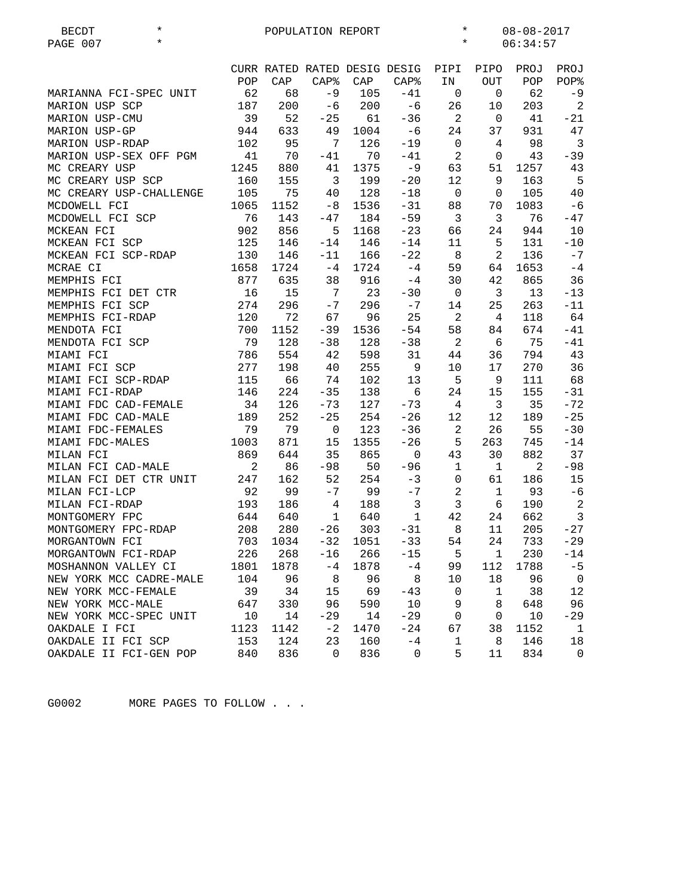| $^\star$<br><b>BECDT</b> |      |      | POPULATION REPORT            | $\star$<br>$08 - 08 - 2017$ |                              |                |                |          |                |
|--------------------------|------|------|------------------------------|-----------------------------|------------------------------|----------------|----------------|----------|----------------|
| PAGE 007<br>$\star$      |      |      |                              |                             |                              | $\star$        |                | 06:34:57 |                |
|                          |      |      |                              |                             | CURR RATED RATED DESIG DESIG | PIPI           | PIPO           | PROJ     | PROJ           |
|                          | POP  | CAP  | $CAP$ %                      | CAP                         | $\mathsf{CAP\$}$             | IN             | <b>OUT</b>     | POP      | POP%           |
| MARIANNA FCI-SPEC UNIT   | 62   | 68   | $-9$                         | 105                         | $-41$                        | 0              | 0              | 62       | -9             |
| MARION USP SCP           | 187  | 200  | $-6$                         | 200                         | $-6$                         | 26             | 10             | 203      | $\overline{a}$ |
| MARION USP-CMU           | 39   | 52   | $-25$                        | 61                          | $-36$                        | 2              | $\mathsf{O}$   | 41       | $-21$          |
| MARION USP-GP            | 944  | 633  | 49                           | 1004                        | $-6$                         | 24             | 37             | 931      | 47             |
| MARION USP-RDAP          | 102  | 95   | 7                            | 126                         | $-19$                        | $\mathbf 0$    | 4              | 98       | $\overline{3}$ |
| MARION USP-SEX OFF PGM   | 41   | 70   | $-41$                        | 70                          | $-41$                        | 2              | 0              | 43       | $-39$          |
| MC CREARY USP            | 1245 | 880  | 41                           | 1375                        | $-9$                         | 63             | 51             | 1257     | 43             |
| MC CREARY USP SCP        | 160  | 155  | $\overline{3}$               | 199                         | $-20$                        | 12             | 9              | 163      | 5              |
| MC CREARY USP-CHALLENGE  | 105  | 75   | 40                           | 128                         | $-18$                        | $\overline{0}$ | 0              | 105      | 40             |
| MCDOWELL FCI             | 1065 | 1152 | -8                           | 1536                        | $-31$                        | 88             | 70             | 1083     | $-6$           |
| MCDOWELL FCI SCP         | 76   | 143  | $-47$                        | 184                         | $-59$                        | $\overline{3}$ | 3              | 76       | $-47$          |
| MCKEAN FCI               | 902  | 856  | 5                            | 1168                        | $-23$                        | 66             | 24             | 944      | 10             |
| MCKEAN FCI SCP           | 125  | 146  | $-14$                        | 146                         | $-14$                        | 11             | 5              | 131      | $-10$          |
| MCKEAN FCI SCP-RDAP      | 130  | 146  | $-11$                        | 166                         | $-22$                        | 8              | 2              | 136      | $-7$           |
| MCRAE CI                 | 1658 | 1724 | $-4$                         | 1724                        | $-4$                         | 59             | 64             | 1653     | $-4$           |
| MEMPHIS FCI              | 877  | 635  | 38                           | 916                         | $-4$                         | 30             | 42             | 865      | 36             |
| MEMPHIS FCI DET CTR      | 16   | 15   | $7\phantom{.0}\phantom{.0}7$ | 23                          | $-30$                        | $\overline{0}$ | 3              | 13       | $-13$          |
| MEMPHIS FCI SCP          | 274  | 296  | $-7$                         | 296                         | $-7$                         | 14             | 25             | 263      | $-11$          |
| MEMPHIS FCI-RDAP         | 120  | 72   | 67                           | 96                          | 25                           | 2              | $\overline{4}$ | 118      | 64             |
| MENDOTA FCI              | 700  | 1152 | $-39$                        | 1536                        | $-54$                        | 58             | 84             | 674      | $-41$          |
| MENDOTA FCI SCP          | 79   | 128  | $-38$                        | 128                         | $-38$                        | 2              | 6              | 75       | $-41$          |
| MIAMI FCI                | 786  | 554  | 42                           | 598                         | 31                           | 44             | 36             | 794      | 43             |
| MIAMI FCI SCP            | 277  | 198  | 40                           | 255                         | 9                            | 10             | 17             | 270      | 36             |
| MIAMI FCI SCP-RDAP       | 115  | 66   | 74                           | 102                         | 13                           | 5              | 9              | 111      | 68             |
| MIAMI FCI-RDAP           | 146  | 224  | $-35$                        | 138                         | 6                            | 24             | 15             | 155      | $-31$          |
| MIAMI FDC CAD-FEMALE     | 34   | 126  | $-73$                        | 127                         | $-73$                        | $\overline{4}$ | 3              | 35       | $-72$          |
| MIAMI FDC CAD-MALE       | 189  | 252  | $-25$                        | 254                         | $-26$                        | 12             | 12             | 189      | $-25$          |
| MIAMI FDC-FEMALES        | 79   | 79   | $\mathbf 0$                  | 123                         | $-36$                        | 2              | 26             | 55       | $-30$          |
| MIAMI FDC-MALES          | 1003 | 871  | 15                           | 1355                        | $-26$                        | 5              | 263            | 745      | $-14$          |
| MILAN FCI                | 869  | 644  | 35                           | 865                         | 0                            | 43             | 30             | 882      | 37             |
| MILAN FCI CAD-MALE       | 2    | 86   | $-98$                        | 50                          | $-96$                        | 1              | $\mathbf{1}$   | 2        | $-98$          |
| MILAN FCI DET CTR UNIT   | 247  | 162  | 52                           | 254                         | $-3$                         | $\mathbf 0$    | 61             | 186      | 15             |
| MILAN FCI-LCP            | 92   | 99   | $-7$                         | 99                          | $-7$                         | $\overline{2}$ | $\mathbf{1}$   | 93       | $-6$           |
| MILAN FCI-RDAP           | 193  | 186  | 4                            | 188                         | $\mathfrak{Z}$               | 3              | 6              | 190      | 2              |
| MONTGOMERY FPC           | 644  | 640  | $\mathbf{1}$                 | 640                         | $\mathbf{1}$                 | 42             | 24             | 662      | $\overline{3}$ |
| MONTGOMERY FPC-RDAP      | 208  | 280  | $-26$                        | 303                         | $-31$                        | 8              | 11             | 205      | $-27$          |
| MORGANTOWN FCI           | 703  | 1034 | $-32$                        | 1051                        | $-33$                        | 54             | 24             | 733      | $-29$          |
| MORGANTOWN FCI-RDAP      | 226  | 268  | $-16$                        | 266                         | $-15$                        | 5              | $\mathbf{1}$   | 230      | $-14$          |
| MOSHANNON VALLEY CI      | 1801 | 1878 | $-4$                         | 1878                        | $-4$                         | 99             | 112            | 1788     | $-5$           |
| NEW YORK MCC CADRE-MALE  | 104  | 96   | 8                            | 96                          | 8                            | 10             | 18             | 96       | $\overline{0}$ |
| NEW YORK MCC-FEMALE      | 39   | 34   | 15                           | 69                          | $-43$                        | $\mathbf 0$    | $\mathbf{1}$   | 38       | 12             |
| NEW YORK MCC-MALE        | 647  | 330  | 96                           | 590                         | 10                           | 9              | 8              | 648      | 96             |
| NEW YORK MCC-SPEC UNIT   | 10   | 14   | $-29$                        | 14                          | $-29$                        | 0              | 0              | 10       | $-29$          |
| OAKDALE I FCI            | 1123 | 1142 | $-2$                         | 1470                        | $-24$                        | 67             | 38             | 1152     | $\mathbf{1}$   |
| OAKDALE II FCI SCP       | 153  | 124  | 23                           | 160                         | $-4$                         | $\mathbf 1$    | 8              | 146      | 18             |
| OAKDALE II FCI-GEN POP   | 840  | 836  | 0                            | 836                         | 0                            | 5              | 11             | 834      | $\mathbf 0$    |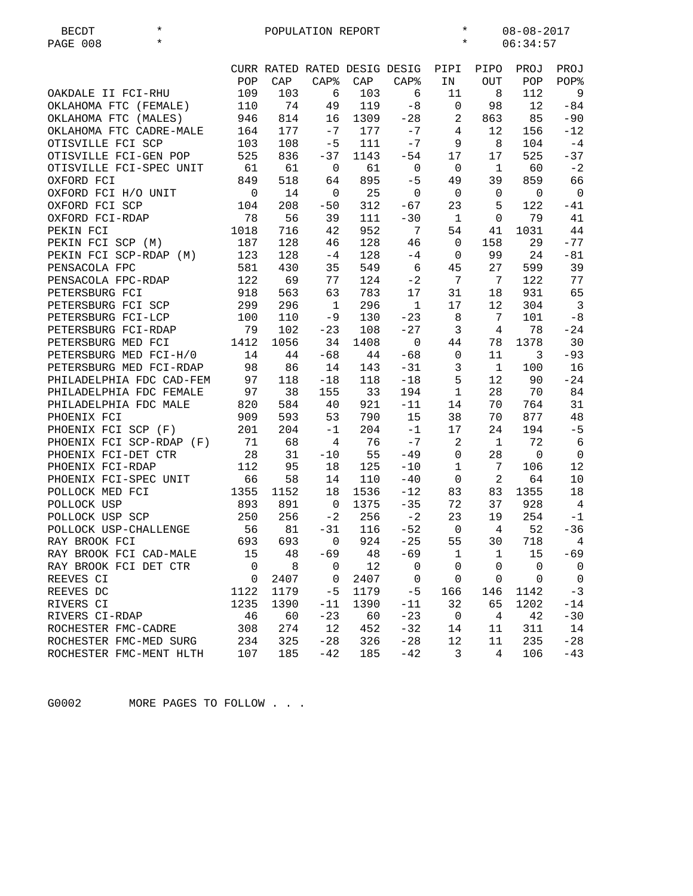| $^\star$<br><b>BECDT</b> |                |                | POPULATION REPORT |      |                              | $\star$        |                | $08 - 08 - 2017$ |                |
|--------------------------|----------------|----------------|-------------------|------|------------------------------|----------------|----------------|------------------|----------------|
| PAGE 008<br>$^\star$     |                |                |                   |      |                              | $\star$        |                | 06:34:57         |                |
|                          |                |                |                   |      |                              |                |                |                  |                |
|                          |                |                |                   |      | CURR RATED RATED DESIG DESIG | PIPI           | PIPO           | PROJ             | PROJ           |
|                          | POP            | CAP            | <b>CAP%</b>       | CAP  | $CAP$ %                      | IN             | <b>OUT</b>     | POP              | POP%           |
| OAKDALE II FCI-RHU       | 109            | 103            | 6                 | 103  | 6                            | 11             | 8              | 112              | 9              |
| OKLAHOMA FTC (FEMALE)    | 110            | 74             | 49                | 119  | $-8$                         | 0              | 98             | 12               | $-84$          |
| OKLAHOMA FTC (MALES)     | 946            | 814            | 16                | 1309 | $-28$                        | $\overline{2}$ | 863            | 85               | $-90$          |
| OKLAHOMA FTC CADRE-MALE  | 164            | 177            | $-7$              | 177  | $-7$                         | $\overline{4}$ | 12             | 156              | $-12$          |
| OTISVILLE FCI SCP        | 103            | 108            | $-5$              | 111  | $-7$                         | 9              | 8              | 104              | $-4$           |
| OTISVILLE FCI-GEN POP    | 525            | 836            | $-37$             | 1143 | $-54$                        | 17             | 17             | 525              | $-37$          |
| OTISVILLE FCI-SPEC UNIT  | 61             | 61             | $\mathbf 0$       | 61   | $\mathbf 0$                  | $\mathbf 0$    | $\mathbf{1}$   | 60               | $-2$           |
| OXFORD FCI               | 849            | 518            | 64                | 895  | $-5$                         | 49             | 39             | 859              | 66             |
| OXFORD FCI H/O UNIT      | $\mathbf 0$    | 14             | $\mathbf 0$       | 25   | $\mathsf 0$                  | $\mathbf 0$    | $\mathbf 0$    | $\mathbf 0$      | $\overline{0}$ |
| OXFORD FCI SCP           | 104            | 208            | $-50$             | 312  | $-67$                        | 23             | 5              | 122              | -41            |
| OXFORD FCI-RDAP          | 78             | 56             | 39                | 111  | $-30$                        | <sup>1</sup>   | $\mathbf 0$    | 79               | 41             |
| PEKIN FCI                | 1018           | 716            | 42                | 952  | 7                            | 54             | 41             | 1031             | 44             |
| PEKIN FCI SCP (M)        | 187            | 128            | 46                | 128  | 46                           | 0              | 158            | 29               | $-77$          |
| PEKIN FCI SCP-RDAP (M)   | 123            | 128            | $-4$              | 128  | $-4$                         | $\mathbf{0}$   | 99             | 24               | $-81$          |
| PENSACOLA FPC            | 581            | 430            | 35                | 549  | $\epsilon$                   | 45             | 27             | 599              | 39             |
| PENSACOLA FPC-RDAP       | 122            | 69             | 77                | 124  | $-2$                         | 7              | 7              | 122              | 77             |
| PETERSBURG FCI           | 918            | 563            | 63                | 783  | 17                           | 31             | 18             | 931              | 65             |
| PETERSBURG FCI SCP       | 299            | 296            | $\mathbf{1}$      | 296  | $\mathbf{1}$                 | 17             | 12             | 304              | $\overline{3}$ |
| PETERSBURG FCI-LCP       | 100            | 110            | $-9$              | 130  | $-23$                        | 8              | 7              | 101              | $-8$           |
| PETERSBURG FCI-RDAP      | 79             | 102            | $-23$             | 108  | $-27$                        | $\mathbf{3}$   | $\overline{4}$ | 78               | $-24$          |
| PETERSBURG MED FCI       | 1412           | 1056           | 34                | 1408 | $\mathbf 0$                  | 44             | 78             | 1378             | 30             |
| PETERSBURG MED FCI-H/0   | 14             | 44             | $-68$             | 44   | $-68$                        | $\mathbf 0$    | 11             | 3                | $-93$          |
| PETERSBURG MED FCI-RDAP  | 98             | 86             | 14                | 143  | $-31$                        | $\mathbf{3}$   | $\mathbf{1}$   | 100              | 16             |
| PHILADELPHIA FDC CAD-FEM | 97             | 118            | $-18$             | 118  | $-18$                        | 5              | 12             | 90               | $-24$          |
| PHILADELPHIA FDC FEMALE  | 97             | 38             | 155               | 33   | 194                          | $\mathbf{1}$   | 28             | 70               | 84             |
| PHILADELPHIA FDC MALE    | 820            | 584            | 40                | 921  | $-11$                        | 14             | 70             | 764              | 31             |
| PHOENIX FCI              | 909            | 593            | 53                | 790  | 15                           | 38             | 70             | 877              | 48             |
| PHOENIX FCI SCP (F)      | 201            | 204            | $-1$              | 204  | $-1$                         | 17             | 24             | 194              | $-5$           |
| PHOENIX FCI SCP-RDAP (F) | 71             | 68             | 4                 | 76   | $-7$                         | 2              | $\mathbf{1}$   | 72               | 6              |
| PHOENIX FCI-DET CTR      | 28             | 31             | $-10$             | 55   | $-49$                        | $\mathbf 0$    | 28             | $\mathbf 0$      | $\mathbf 0$    |
| PHOENIX FCI-RDAP         | 112            | 95             | 18                | 125  | $-10$                        | $\mathbf{1}$   | 7              | 106              | 12             |
| PHOENIX FCI-SPEC UNIT    | 66             | 58             | 14                | 110  | $-40$                        | $\mathbf 0$    | 2              | 64               | 10             |
| POLLOCK MED FCI          | 1355           | 1152           | 18                | 1536 | $-12$                        | 83             | 83             | 1355             | 18             |
| POLLOCK USP              | 893            | 891            | 0                 | 1375 | $-35$                        | 72             | 37             | 928              | $\overline{4}$ |
| POLLOCK USP SCP          | 250            | 256            | $-2$              | 256  | $-2$                         | 23             | 19             | 254              | $-1$           |
| POLLOCK USP-CHALLENGE    |                | 56 81          | $-31$             | 116  | $-52$                        | $\overline{0}$ | 4              | 52               | $-36$          |
| RAY BROOK FCI            | 693            | 693            | 0                 | 924  | $-25$                        | 55             | 30             | 718              | 4              |
| RAY BROOK FCI CAD-MALE   | 15             | 48             | $-69$             | 48   | $-69$                        | $\mathbf{1}$   | $\mathbf{1}$   | 15               | $-69$          |
| RAY BROOK FCI DET CTR    | $\overline{0}$ | 8 <sup>8</sup> | $\mathbf 0$       | 12   | $\mathbf 0$                  | $\mathbf{0}$   | $\mathbf{0}$   | $\mathsf 0$      | $\overline{0}$ |
| REEVES CI                | $\mathbf 0$    | 2407           | 0                 | 2407 | 0                            | $\mathbf 0$    | 0              | $\mathbf 0$      | $\overline{0}$ |
| REEVES DC                | 1122           | 1179           | $-5$              | 1179 | $-5$                         | 166            | 146            | 1142             | $-3$           |
| RIVERS CI                | 1235           | 1390           | $-11$             | 1390 | $-11$                        | 32             | 65             | 1202             | $-14$          |
| RIVERS CI-RDAP           | 46             | 60             | $-23$             | 60   | $-23$                        | 0              | 4              | 42               | $-30$          |
| ROCHESTER FMC-CADRE      | 308            | 274            | 12                | 452  | $-32$                        | 14             | 11             | 311              | 14             |
| ROCHESTER FMC-MED SURG   | 234            | 325            | $-28$             | 326  | $-28$                        | 12             | 11             | 235              | $-28$          |
| ROCHESTER FMC-MENT HLTH  | 107            | 185            | $-42$             | 185  | $-42$                        | 3              | 4              | 106              | $-43$          |
|                          |                |                |                   |      |                              |                |                |                  |                |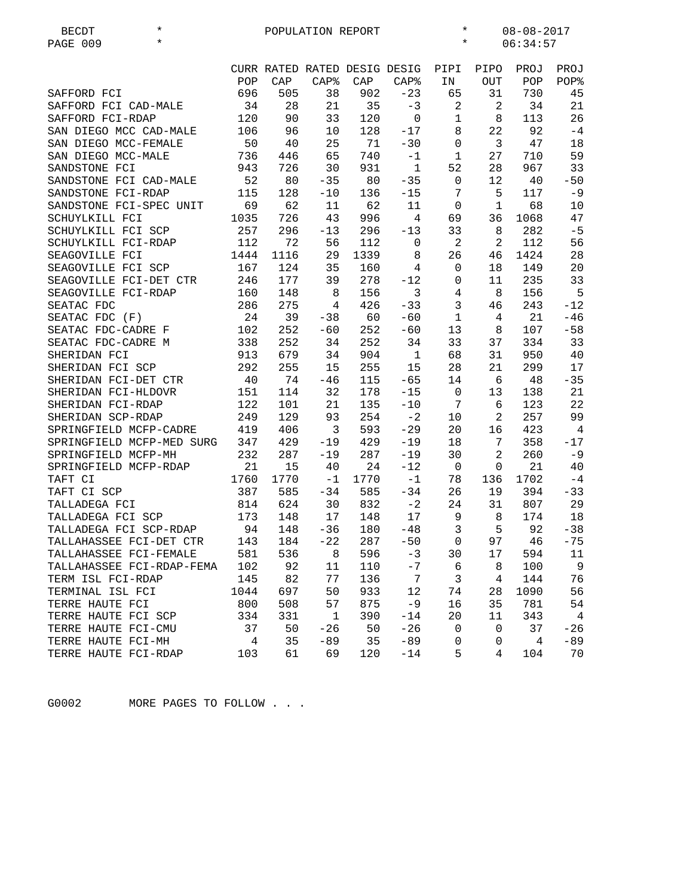| $^\star$<br><b>BECDT</b>  |      |      | POPULATION REPORT |      |                              | $^\star$       |             | $08 - 08 - 2017$ |                |
|---------------------------|------|------|-------------------|------|------------------------------|----------------|-------------|------------------|----------------|
| $\star$<br>PAGE 009       |      |      |                   |      |                              | $^\star$       |             | 06:34:57         |                |
|                           |      |      |                   |      |                              |                |             |                  |                |
|                           |      |      |                   |      | CURR RATED RATED DESIG DESIG | PIPI           | PIPO        | PROJ             | PROJ           |
|                           | POP  | CAP  | <b>CAP%</b>       | CAP  | CAP <sub>8</sub>             | ΙN             | <b>OUT</b>  | POP              | POP%           |
| SAFFORD FCI               | 696  | 505  | 38                | 902  | $-23$                        | 65             | 31          | 730              | 45             |
| SAFFORD FCI CAD-MALE      | 34   | 28   | 21                | 35   | $-3$                         | 2              | 2           | 34               | 21             |
| SAFFORD FCI-RDAP          | 120  | 90   | 33                | 120  | $\mathbf 0$                  | $\mathbf 1$    | 8           | 113              | 26             |
| SAN DIEGO MCC CAD-MALE    | 106  | 96   | 10                | 128  | $-17$                        | 8              | 22          | 92               | $-4$           |
| SAN DIEGO MCC-FEMALE      | 50   | 40   | 25                | 71   | $-30$                        | $\mathbf 0$    | 3           | 47               | 18             |
| SAN DIEGO MCC-MALE        | 736  | 446  | 65                | 740  | $-1$                         | $\mathbf{1}$   | 27          | 710              | 59             |
| SANDSTONE FCI             | 943  | 726  | 30                | 931  | $\mathbf{1}$                 | 52             | 28          | 967              | 33             |
| SANDSTONE FCI CAD-MALE    | 52   | 80   | $-35$             | 80   | $-35$                        | 0              | 12          | 40               | $-50$          |
| SANDSTONE FCI-RDAP        | 115  | 128  | $-10$             | 136  | $-15$                        | 7              | 5           | 117              | $-9$           |
| SANDSTONE FCI-SPEC UNIT   | 69   | 62   | 11                | 62   | 11                           | 0              | 1           | 68               | 10             |
| SCHUYLKILL FCI            | 1035 | 726  | 43                | 996  | 4                            | 69             | 36          | 1068             | 47             |
| SCHUYLKILL FCI SCP        | 257  | 296  | $-13$             | 296  | $-13$                        | 33             | 8           | 282              | $-5$           |
|                           | 112  | 72   | 56                | 112  | $\mathsf 0$                  | $\overline{a}$ | 2           | 112              | 56             |
| SCHUYLKILL FCI-RDAP       |      |      |                   |      |                              |                |             |                  |                |
| SEAGOVILLE FCI            | 1444 | 1116 | 29                | 1339 | 8                            | 26             | 46          | 1424             | 28             |
| SEAGOVILLE FCI SCP        | 167  | 124  | 35                | 160  | 4                            | 0              | 18          | 149              | 20             |
| SEAGOVILLE FCI-DET CTR    | 246  | 177  | 39                | 278  | $-12$                        | 0              | 11          | 235              | 33             |
| SEAGOVILLE FCI-RDAP       | 160  | 148  | 8                 | 156  | $\mathsf{3}$                 | 4              | 8           | 156              | 5              |
| SEATAC FDC                | 286  | 275  | 4                 | 426  | $-33$                        | 3              | 46          | 243              | $-12$          |
| SEATAC FDC (F)            | 24   | 39   | $-38$             | 60   | $-60$                        | $\mathbf{1}$   | 4           | 21               | $-46$          |
| SEATAC FDC-CADRE F        | 102  | 252  | $-60$             | 252  | $-60$                        | 13             | 8           | 107              | $-58$          |
| SEATAC FDC-CADRE M        | 338  | 252  | 34                | 252  | 34                           | 33             | 37          | 334              | 33             |
| SHERIDAN FCI              | 913  | 679  | 34                | 904  | $1\,$                        | 68             | 31          | 950              | 40             |
| SHERIDAN FCI SCP          | 292  | 255  | 15                | 255  | 15                           | 28             | 21          | 299              | 17             |
| SHERIDAN FCI-DET CTR      | 40   | 74   | $-46$             | 115  | $-65$                        | 14             | 6           | 48               | $-35$          |
| SHERIDAN FCI-HLDOVR       | 151  | 114  | 32                | 178  | $-15$                        | $\mathbf{0}$   | 13          | 138              | 21             |
| SHERIDAN FCI-RDAP         | 122  | 101  | 21                | 135  | $-10$                        | 7              | 6           | 123              | 22             |
| SHERIDAN SCP-RDAP         | 249  | 129  | 93                | 254  | $-2$                         | 10             | 2           | 257              | 99             |
| SPRINGFIELD MCFP-CADRE    | 419  | 406  | 3                 | 593  | $-29$                        | 20             | 16          | 423              | $\overline{4}$ |
| SPRINGFIELD MCFP-MED SURG | 347  | 429  | $-19$             | 429  | $-19$                        | 18             | 7           | 358              | $-17$          |
| SPRINGFIELD MCFP-MH       | 232  | 287  | $-19$             | 287  | $-19$                        | 30             | $\sqrt{2}$  | 260              | $-9$           |
| SPRINGFIELD MCFP-RDAP     | 21   | 15   | 40                | 24   | $-12$                        | $\mathbf 0$    | 0           | 21               | 40             |
| TAFT CI                   | 1760 | 1770 | $-1$              | 1770 | $-1$                         | 78             | 136         | 1702             | $-4$           |
| TAFT CI SCP               | 387  | 585  | $-34$             | 585  | $-34$                        | 26             | 19          | 394              | $-33$          |
| TALLADEGA FCI             | 814  | 624  | 30                | 832  | $-2$                         | 24             | 31          | 807              | 29             |
| TALLADEGA FCI SCP         | 173  | 148  | 17                | 148  | 17                           | 9              | 8           | 174              | 18             |
| TALLADEGA FCI SCP-RDAP    | 94   | 148  | $-36$             | 180  | $-48$                        | 3              | 5           | 92               | $-38$          |
| TALLAHASSEE FCI-DET CTR   | 143  | 184  | $-22$             | 287  | $-50$                        | 0              | 97          | 46               | $-75$          |
| TALLAHASSEE FCI-FEMALE    | 581  | 536  | 8                 | 596  | $-3$                         | 30             | 17          | 594              | 11             |
| TALLAHASSEE FCI-RDAP-FEMA | 102  | 92   | 11                | 110  | $-7$                         | 6              | 8           | 100              | 9              |
| TERM ISL FCI-RDAP         | 145  | 82   | 77                | 136  | $\boldsymbol{7}$             | 3              | 4           | 144              | 76             |
| TERMINAL ISL FCI          | 1044 | 697  | 50                | 933  | 12                           | 74             | 28          | 1090             | 56             |
|                           |      | 508  | 57                | 875  | $-9$                         |                | 35          | 781              | 54             |
| TERRE HAUTE FCI           | 800  |      | $\mathbf{1}$      |      |                              | 16             |             |                  |                |
| TERRE HAUTE FCI SCP       | 334  | 331  |                   | 390  | $-14$                        | 20             | 11          | 343              | $\overline{4}$ |
| TERRE HAUTE FCI-CMU       | 37   | 50   | $-26$             | 50   | $-26$                        | 0              | $\mathbf 0$ | 37               | $-26$          |
| TERRE HAUTE FCI-MH        | 4    | 35   | $-89$             | 35   | $-89$                        | 0              | 0           | 4                | -89            |
| TERRE HAUTE FCI-RDAP      | 103  | 61   | 69                | 120  | $-14$                        | 5              | 4           | 104              | 70             |